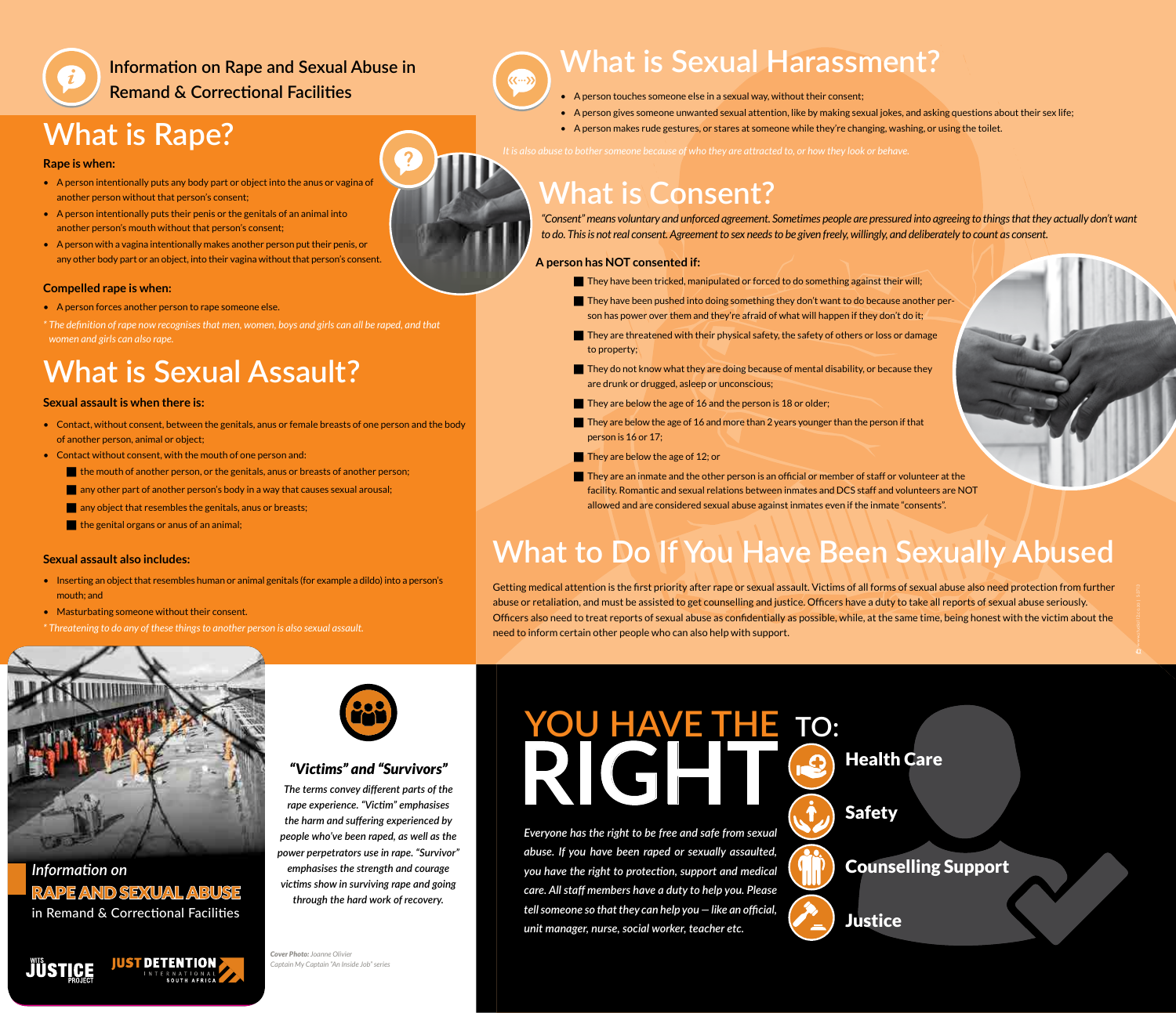**Information on Rape and Sexual Abuse in Remand & Correctional Facilities** 

## **What is Rape?**

### **Rape is when:**

- A person intentionally puts any body part or object into the anus or vagina of another person without that person's consent;
- A person intentionally puts their penis or the genitals of an animal into another person's mouth without that person's consent;
- A person with a vagina intentionally makes another person put their penis, or any other body part or an object, into their vagina without that person's consent.

## **Compelled rape is when:**

- A person forces another person to rape someone else.
- *\* The defi nition of rape now recognises that men, women, boys and girls can all be raped, and that women and girls can also rape.*

# **What is Sexual Assault?**

## **Sexual assault is when there is:**

- Contact, without consent, between the genitals, anus or female breasts of one person and the body of another person, animal or object;
- Contact without consent, with the mouth of one person and:
	- **the mouth of another person, or the genitals, anus or breasts of another person;**
	- **any other part of another person's body in a way that causes sexual arousal;**
	- **a** any object that resembles the genitals, anus or breasts;
	- the genital organs or anus of an animal;

## **Sexual assault also includes:**

- Inserting an object that resembles human or animal genitals (for example a dildo) into a person's mouth; and
- Masturbating someone without their consent.
- *\* Threatening to do any of these things to another person is also sexual assault.*



*Information on* RAPE AND SEXUAL ABUSE in Remand & Correctional Facilities

*JÜSTICE* 

<u>|UST DETENTION |</u>



## *"Victims" and "Survivors"*

The terms convey different parts of the *rape experience. "Victi m" emphasises the harm and suff ering experienced by people who've been raped, as well as the power perpetrators use in rape. "Survivor" emphasises the strength and courage victi ms show in surviving rape and going through the hard work of recovery.* 

**Cover Photo: Joanne Olivier** *Captain My Captain "An Inside Job" series*

# **What is Sexual Harassment?**

- A person touches someone else in a sexual way, without their consent;
- A person gives someone unwanted sexual attention, like by making sexual jokes, and asking questions about their sex life;
- A person makes rude gestures, or stares at someone while they're changing, washing, or using the toilet.

*It is also abuse to bother someone because of who they are attracted to, or how they look or behave.* 

# **What is Consent?**

*"Consent" means voluntary and unforced agreement. Sometimes people are pressured into agreeing to things that they actually don't want to do. This is not real consent. Agreement to sex needs to be given freely, willingly, and deliberately to count as consent.* 

## **A person has NOT consented if:**

- $\blacksquare$  They have been tricked, manipulated or forced to do something against their will;
- $\blacksquare$  They have been pushed into doing something they don't want to do because another person has power over them and they're afraid of what will happen if they don't do it;
- They are threatened with their physical safety, the safety of others or loss or damage to property;
- They do not know what they are doing because of mental disability, or because they are drunk or drugged, asleep or unconscious;
- They are below the age of 16 and the person is 18 or older;
- They are below the age of 16 and more than 2 years younger than the person if that person is 16 or 17;
- They are below the age of 12; or
- $\blacksquare$  They are an inmate and the other person is an official or member of staff or volunteer at the facility. Romantic and sexual relations between inmates and DCS staff and volunteers are NOT allowed and are considered sexual abuse against inmates even if the inmate "consents".

# **What to Do If You Have Been Sexually Abused**

Getting medical attention is the first priority after rape or sexual assault. Victims of all forms of sexual abuse also need protection from further abuse or retaliation, and must be assisted to get counselling and justice. Officers have a duty to take all reports of sexual abuse seriously. Officers also need to treat reports of sexual abuse as confidentially as possible, while, at the same time, being honest with the victim about the need to inform certain other people who can also help with support.